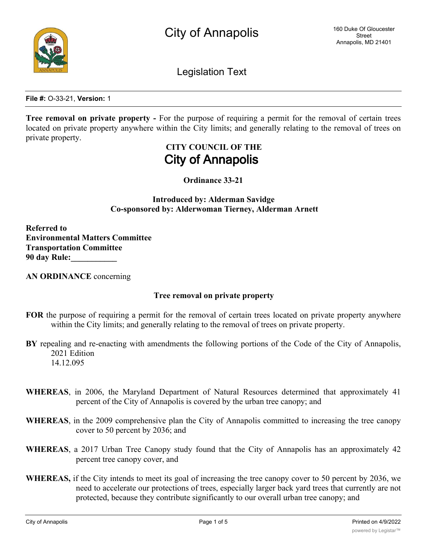

Legislation Text

**File #:** O-33-21, **Version:** 1

**Tree removal on private property -** For the purpose of requiring a permit for the removal of certain trees located on private property anywhere within the City limits; and generally relating to the removal of trees on private property.

## **CITY COUNCIL OF THE City of Annapolis**

**Ordinance 33-21**

**Introduced by: Alderman Savidge Co-sponsored by: Alderwoman Tierney, Alderman Arnett**

**Referred to Environmental Matters Committee Transportation Committee 90 day Rule:\_\_\_\_\_\_\_\_\_\_\_**

**AN ORDINANCE** concerning

## **Tree removal on private property**

- **FOR** the purpose of requiring a permit for the removal of certain trees located on private property anywhere within the City limits; and generally relating to the removal of trees on private property.
- **BY** repealing and re-enacting with amendments the following portions of the Code of the City of Annapolis, 2021 Edition 14.12.095
- **WHEREAS**, in 2006, the Maryland Department of Natural Resources determined that approximately 41 percent of the City of Annapolis is covered by the urban tree canopy; and
- **WHEREAS**, in the 2009 comprehensive plan the City of Annapolis committed to increasing the tree canopy cover to 50 percent by 2036; and
- **WHEREAS**, a 2017 Urban Tree Canopy study found that the City of Annapolis has an approximately 42 percent tree canopy cover, and
- **WHEREAS,** if the City intends to meet its goal of increasing the tree canopy cover to 50 percent by 2036, we need to accelerate our protections of trees, especially larger back yard trees that currently are not protected, because they contribute significantly to our overall urban tree canopy; and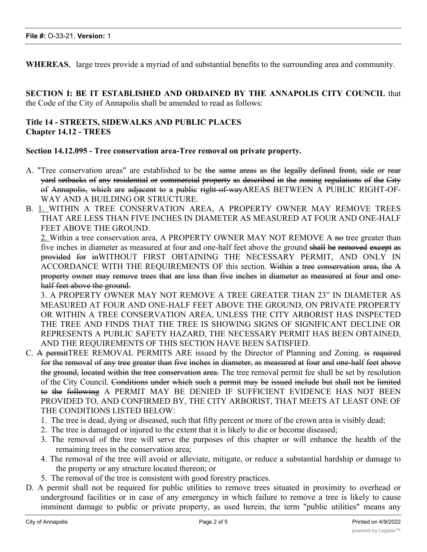**WHEREAS**, large trees provide a myriad of and substantial benefits to the surrounding area and community.

**SECTION I: BE IT ESTABLISHED AND ORDAINED BY THE ANNAPOLIS CITY COUNCIL** that the Code of the City of Annapolis shall be amended to read as follows:

## **Title 14 - STREETS, SIDEWALKS AND PUBLIC PLACES Chapter 14.12 - TREES**

**Section 14.12.095 - Tree conservation area-Tree removal on private property.**

- A. "Tree conservation areas" are established to be the same areas as the legally defined front, side or rear yard setbacks of any residential or commercial property as described in the zoning regulations of the City of Annapolis, which are adjacent to a public right-of-wayAREAS BETWEEN A PUBLIC RIGHT-OF-WAY AND A BUILDING OR STRUCTURE.
- B. 1. WITHIN A TREE CONSERVATION AREA, A PROPERTY OWNER MAY REMOVE TREES THAT ARE LESS THAN FIVE INCHES IN DIAMETER AS MEASURED AT FOUR AND ONE-HALF FEET ABOVE THE GROUND.

2. Within a tree conservation area, A PROPERTY OWNER MAY NOT REMOVE A no tree greater than five inches in diameter as measured at four and one-half feet above the ground shall be removed except as provided for inWITHOUT FIRST OBTAINING THE NECESSARY PERMIT, AND ONLY IN ACCORDANCE WITH THE REQUIREMENTS OF this section. Within a tree conservation area, the A property owner may remove trees that are less than five inches in diameter as measured at four and onehalf feet above the ground.

3. A PROPERTY OWNER MAY NOT REMOVE A TREE GREATER THAN 23" IN DIAMETER AS MEASURED AT FOUR AND ONE-HALF FEET ABOVE THE GROUND, ON PRIVATE PROPERTY OR WITHIN A TREE CONSERVATION AREA, UNLESS THE CITY ARBORIST HAS INSPECTED THE TREE AND FINDS THAT THE TREE IS SHOWING SIGNS OF SIGNIFICANT DECLINE OR REPRESENTS A PUBLIC SAFETY HAZARD, THE NECESSARY PERMIT HAS BEEN OBTAINED, AND THE REQUIREMENTS OF THIS SECTION HAVE BEEN SATISFIED.

- C. A permitTREE REMOVAL PERMITS ARE issued by the Director of Planning and Zoning. is required for the removal of any tree greater than five inches in diameter, as measured at four and one-half feet above the ground, located within the tree conservation area. The tree removal permit fee shall be set by resolution of the City Council. Conditions under which such a permit may be issued include but shall not be limited to the following A PERMIT MAY BE DENIED IF SUFFICIENT EVIDENCE HAS NOT BEEN PROVIDED TO, AND CONFIRMED BY, THE CITY ARBORIST, THAT MEETS AT LEAST ONE OF THE CONDITIONS LISTED BELOW:
	- 1. The tree is dead, dying or diseased, such that fifty percent or more of the crown area is visibly dead;
	- 2. The tree is damaged or injured to the extent that it is likely to die or become diseased;
	- 3. The removal of the tree will serve the purposes of this chapter or will enhance the health of the remaining trees in the conservation area;
	- 4. The removal of the tree will avoid or alleviate, mitigate, or reduce a substantial hardship or damage to the property or any structure located thereon; or
	- 5. The removal of the tree is consistent with good forestry practices.
- D. A permit shall not be required for public utilities to remove trees situated in proximity to overhead or underground facilities or in case of any emergency in which failure to remove a tree is likely to cause imminent damage to public or private property, as used herein, the term "public utilities" means any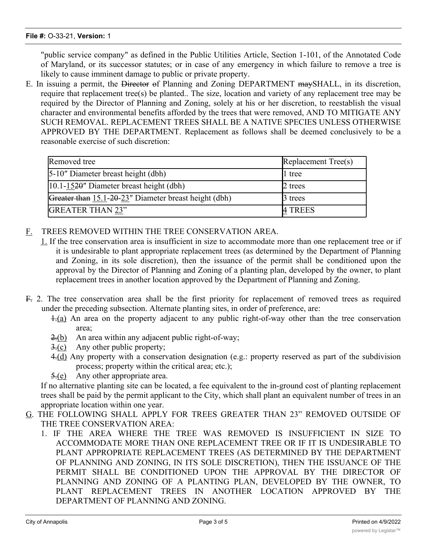"public service company" as defined in the Public Utilities Article, Section 1-101, of the Annotated Code of Maryland, or its successor statutes; or in case of any emergency in which failure to remove a tree is likely to cause imminent damage to public or private property.

E. In issuing a permit, the Director of Planning and Zoning DEPARTMENT maySHALL, in its discretion, require that replacement tree(s) be planted.. The size, location and variety of any replacement tree may be required by the Director of Planning and Zoning, solely at his or her discretion, to reestablish the visual character and environmental benefits afforded by the trees that were removed, AND TO MITIGATE ANY SUCH REMOVAL. REPLACEMENT TREES SHALL BE A NATIVE SPECIES UNLESS OTHERWISE APPROVED BY THE DEPARTMENT. Replacement as follows shall be deemed conclusively to be a reasonable exercise of such discretion:

| Removed tree                                          | Replacement Tree(s) |
|-------------------------------------------------------|---------------------|
| 5-10" Diameter breast height (dbh)                    | II tree             |
| $ 10.1 - 1520$ " Diameter breast height (dbh)         | 2 trees             |
| Greater than 15.1-20-23" Diameter breast height (dbh) | 3 trees             |
| <b>GREATER THAN 23"</b>                               | 4 TREES             |

- F. TREES REMOVED WITHIN THE TREE CONSERVATION AREA.
	- 1. If the tree conservation area is insufficient in size to accommodate more than one replacement tree or if it is undesirable to plant appropriate replacement trees (as determined by the Department of Planning and Zoning, in its sole discretion), then the issuance of the permit shall be conditioned upon the approval by the Director of Planning and Zoning of a planting plan, developed by the owner, to plant replacement trees in another location approved by the Department of Planning and Zoning.
- F. 2. The tree conservation area shall be the first priority for replacement of removed trees as required under the preceding subsection. Alternate planting sites, in order of preference, are:
	- 1.(a) An area on the property adjacent to any public right-of-way other than the tree conservation area;
	- 2.(b) An area within any adjacent public right-of-way;
	- $\exists$ . (c) Any other public property;
	- 4.(d) Any property with a conservation designation (e.g.: property reserved as part of the subdivision process; property within the critical area; etc.);
	- 5.(e) Any other appropriate area.

If no alternative planting site can be located, a fee equivalent to the in-ground cost of planting replacement trees shall be paid by the permit applicant to the City, which shall plant an equivalent number of trees in an appropriate location within one year.

- G. THE FOLLOWING SHALL APPLY FOR TREES GREATER THAN 23" REMOVED OUTSIDE OF THE TREE CONSERVATION AREA:
	- 1. IF THE AREA WHERE THE TREE WAS REMOVED IS INSUFFICIENT IN SIZE TO ACCOMMODATE MORE THAN ONE REPLACEMENT TREE OR IF IT IS UNDESIRABLE TO PLANT APPROPRIATE REPLACEMENT TREES (AS DETERMINED BY THE DEPARTMENT OF PLANNING AND ZONING, IN ITS SOLE DISCRETION), THEN THE ISSUANCE OF THE PERMIT SHALL BE CONDITIONED UPON THE APPROVAL BY THE DIRECTOR OF PLANNING AND ZONING OF A PLANTING PLAN, DEVELOPED BY THE OWNER, TO PLANT REPLACEMENT TREES IN ANOTHER LOCATION APPROVED BY THE DEPARTMENT OF PLANNING AND ZONING.

2. THE AREA WHERE THE TREE WAS REMOVED SHALL BE THE FIRST PRIORITY FOR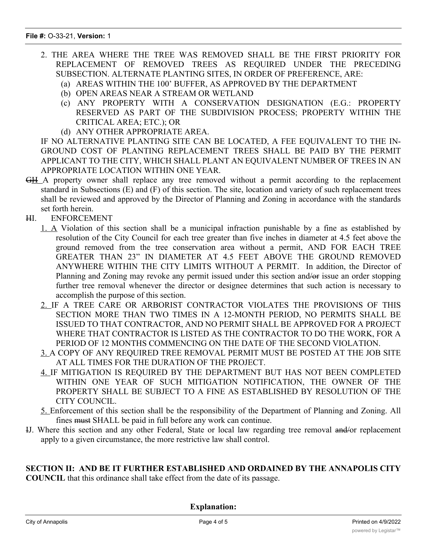- 2. THE AREA WHERE THE TREE WAS REMOVED SHALL BE THE FIRST PRIORITY FOR REPLACEMENT OF REMOVED TREES AS REQUIRED UNDER THE PRECEDING SUBSECTION. ALTERNATE PLANTING SITES, IN ORDER OF PREFERENCE, ARE:
	- (a) AREAS WITHIN THE 100' BUFFER, AS APPROVED BY THE DEPARTMENT
	- (b) OPEN AREAS NEAR A STREAM OR WETLAND
	- (c) ANY PROPERTY WITH A CONSERVATION DESIGNATION (E.G.: PROPERTY RESERVED AS PART OF THE SUBDIVISION PROCESS; PROPERTY WITHIN THE CRITICAL AREA; ETC.); OR
	- (d) ANY OTHER APPROPRIATE AREA.

IF NO ALTERNATIVE PLANTING SITE CAN BE LOCATED, A FEE EQUIVALENT TO THE IN-GROUND COST OF PLANTING REPLACEMENT TREES SHALL BE PAID BY THE PERMIT APPLICANT TO THE CITY, WHICH SHALL PLANT AN EQUIVALENT NUMBER OF TREES IN AN APPROPRIATE LOCATION WITHIN ONE YEAR.

- GH A property owner shall replace any tree removed without a permit according to the replacement standard in Subsections (E) and (F) of this section. The site, location and variety of such replacement trees shall be reviewed and approved by the Director of Planning and Zoning in accordance with the standards set forth herein.
- HI. ENFORCEMENT
	- 1. A Violation of this section shall be a municipal infraction punishable by a fine as established by resolution of the City Council for each tree greater than five inches in diameter at 4.5 feet above the ground removed from the tree conservation area without a permit, AND FOR EACH TREE GREATER THAN 23" IN DIAMETER AT 4.5 FEET ABOVE THE GROUND REMOVED ANYWHERE WITHIN THE CITY LIMITS WITHOUT A PERMIT. In addition, the Director of Planning and Zoning may revoke any permit issued under this section and/or issue an order stopping further tree removal whenever the director or designee determines that such action is necessary to accomplish the purpose of this section.
	- 2. IF A TREE CARE OR ARBORIST CONTRACTOR VIOLATES THE PROVISIONS OF THIS SECTION MORE THAN TWO TIMES IN A 12-MONTH PERIOD, NO PERMITS SHALL BE ISSUED TO THAT CONTRACTOR, AND NO PERMIT SHALL BE APPROVED FOR A PROJECT WHERE THAT CONTRACTOR IS LISTED AS THE CONTRACTOR TO DO THE WORK, FOR A PERIOD OF 12 MONTHS COMMENCING ON THE DATE OF THE SECOND VIOLATION.
	- 3. A COPY OF ANY REQUIRED TREE REMOVAL PERMIT MUST BE POSTED AT THE JOB SITE AT ALL TIMES FOR THE DURATION OF THE PROJECT.
	- 4. IF MITIGATION IS REQUIRED BY THE DEPARTMENT BUT HAS NOT BEEN COMPLETED WITHIN ONE YEAR OF SUCH MITIGATION NOTIFICATION, THE OWNER OF THE PROPERTY SHALL BE SUBJECT TO A FINE AS ESTABLISHED BY RESOLUTION OF THE CITY COUNCIL.
	- 5. Enforcement of this section shall be the responsibility of the Department of Planning and Zoning. All fines must SHALL be paid in full before any work can continue.
- IJ. Where this section and any other Federal, State or local law regarding tree removal and/or replacement apply to a given circumstance, the more restrictive law shall control.

## **SECTION II: AND BE IT FURTHER ESTABLISHED AND ORDAINED BY THE ANNAPOLIS CITY**

**COUNCIL** that this ordinance shall take effect from the date of its passage.

**Explanation:**